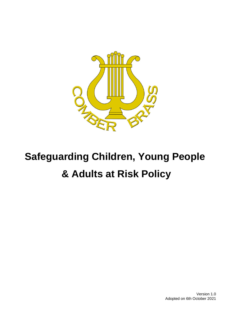

# **Safeguarding Children, Young People & Adults at Risk Policy**

Version 1.0 Adopted on 6th October 2021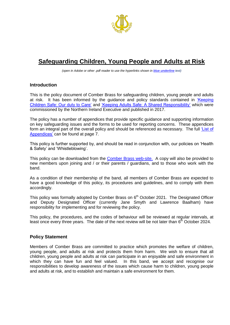<span id="page-1-0"></span>

# **Safeguarding Children, Young People and Adults at Risk**

*(open in Adobe or other .pdf reader to use the hyperlinks shown in blue underline text)*

#### **Introduction**

This is the policy document of Comber Brass for safeguarding children, young people and adults at risk. It has been informed by the guidance and policy standards contained in Keeping [Children Safe: Our duty to Care'](https://www.volunteernow.co.uk/app/uploads/2019/04/Keeping-Children-Safe-Our-Duty-to-Care.pdf) and ['Keeping Adults Safe: A Shared Responsibility'](https://www.volunteernow.co.uk/app/uploads/2019/04/Keeping-Adults-Safe-A-Shared-Responsibility.pdf) which were commissioned by the Northern Ireland Executive and published in 2017.

The policy has a number of appendices that provide specific guidance and supporting information on key safeguarding issues and the forms to be used for reporting concerns. These appendices form an integral part of the overall policy and should be referenced as necessary. The full ['List of](#page-7-0)  [Appendices'](#page-7-0) can be found at page 7.

This policy is further supported by, and should be read in conjunction with, our policies on 'Health & Safety' and 'Whistleblowing'.

This policy can be downloaded from the **Comber Brass web-site.** A copy will also be provided to new members upon joining and / or their parents / guardians, and to those who work with the band.

As a condition of their membership of the band, all members of Comber Brass are expected to have a good knowledge of this policy, its procedures and guidelines, and to comply with them accordingly.

This policy was formally adopted by Comber Brass on 6<sup>th</sup> October 2021. The Designated Officer and Deputy Designated Officer (currently Jane Smyth and Lawrence Baalham) have responsibility for implementing and for reviewing the policy.

This policy, the procedures, and the codes of behaviour will be reviewed at regular intervals, at least once every three years. The date of the next review will be not later than 6<sup>th</sup> October 2024.

#### **Policy Statement**

Members of Comber Brass are committed to practice which promotes the welfare of children, young people, and adults at risk and protects them from harm. We wish to ensure that all children, young people and adults at risk can participate in an enjoyable and safe environment in which they can have fun and feel valued. In this band, we accept and recognise our responsibilities to develop awareness of the issues which cause harm to children, young people and adults at risk, and to establish and maintain a safe environment for them.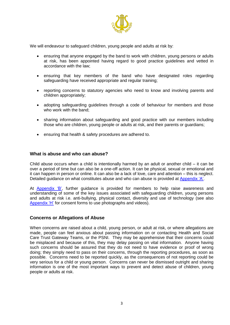

We will endeavour to safeguard children, young people and adults at risk by:

- ensuring that anyone engaged by the band to work with children, young persons or adults at risk, has been appointed having regard to good practice guidelines and vetted in accordance with the law;
- ensuring that key members of the band who have designated roles regarding safeguarding have received appropriate and regular training;
- reporting concerns to statutory agencies who need to know and involving parents and children appropriately;
- adopting safeguarding guidelines through a code of behaviour for members and those who work with the band;
- sharing information about safeguarding and good practice with our members including those who are children, young people or adults at risk, and their parents or guardians;
- <span id="page-2-0"></span>ensuring that health & safety procedures are adhered to.

#### **What is abuse and who can abuse?**

Child abuse occurs when a child is intentionally harmed by an adult or another child – it can be over a period of time but can also be a one-off action. It can be physical, sexual or emotional and it can happen in person or online. It can also be a lack of love, care and attention – this is neglect. Detailed guidance on what constitutes abuse and who can abuse is provided at [Appendix 'A'.](#page-8-0)

<span id="page-2-2"></span><span id="page-2-1"></span>At **Appendix 'B'**, further guidance is provided for members to help raise awareness and understanding of some of the key issues associated with safeguarding children, young persons and adults at risk i.e. anti-bullying, physical contact, diversity and use of technology (see also [Appendix 'H'](#page-22-0) for consent forms to use photographs and videos).

#### **Concerns or Allegations of Abuse**

When concerns are raised about a child, young person, or adult at risk, or where allegations are made, people can feel anxious about passing information on or contacting Health and Social Care Trust Gateway Teams, or the PSNI. They may be apprehensive that their concerns could be misplaced and because of this, they may delay passing on vital information. Anyone having such concerns should be assured that they do not need to have evidence or proof of wrong doing; they simply need to pass on their concerns, through the reporting procedures, as soon as possible. Concerns need to be reported quickly, as the consequences of not reporting could be very serious for a child or young person. Concerns can never be dismissed outright and sharing information is one of the most important ways to prevent and detect abuse of children, young people or adults at risk.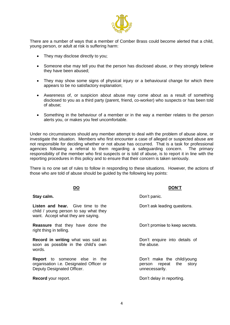

There are a number of ways that a member of Comber Brass could become alerted that a child, young person, or adult at risk is suffering harm:

- They may disclose directly to you;
- Someone else may tell you that the person has disclosed abuse, or they strongly believe they have been abused;
- They may show some signs of physical injury or a behavioural change for which there appears to be no satisfactory explanation;
- Awareness of, or suspicion about abuse may come about as a result of something disclosed to you as a third party (parent, friend, co-worker) who suspects or has been told of abuse;
- Something in the behaviour of a member or in the way a member relates to the person alerts you, or makes you feel uncomfortable.

Under no circumstances should any member attempt to deal with the problem of abuse alone, or investigate the situation. Members who first encounter a case of alleged or suspected abuse are not responsible for deciding whether or not abuse has occurred. That is a task for professional agencies following a referral to them regarding a safeguarding concern. The primary responsibility of the member who first suspects or is told of abuse, is to report it in line with the reporting procedures in this policy and to ensure that their concern is taken seriously.

There is no one set of rules to follow in responding to these situations. However, the actions of those who are told of abuse should be guided by the following key points:

#### **DO DON'T**

| Stay calm.                                                                                                              | Don't panic.                                                               |  |  |
|-------------------------------------------------------------------------------------------------------------------------|----------------------------------------------------------------------------|--|--|
| <b>Listen and hear.</b> Give time to the<br>child / young person to say what they<br>want. Accept what they are saying. | Don't ask leading questions.                                               |  |  |
| <b>Reassure</b> that they have done the<br>right thing in telling.                                                      | Don't promise to keep secrets.                                             |  |  |
| Record in writing what was said as<br>soon as possible in the child's own<br>words.                                     | Don't enquire into details of<br>the abuse.                                |  |  |
| <b>Report</b> to someone else in the<br>organisation <i>i.e.</i> Designated Officer or<br>Deputy Designated Officer.    | Don't make the child/young<br>person repeat the<br>story<br>unnecessarily. |  |  |

**Record** your report. **Example 20** and the control of the Don't delay in reporting.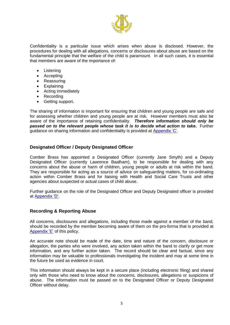

Confidentiality is a particular issue which arises when abuse is disclosed. However, the procedures for dealing with all allegations, concerns or disclosures about abuse are based on the fundamental principle that the welfare of the child is paramount. In all such cases, it is essential that members are aware of the importance of:

- **Listening**
- Accepting
- Reassuring
- Explaining
- Acting immediately
- Recording
- <span id="page-4-0"></span>• Getting support.

The sharing of information is important for ensuring that children and young people are safe and for assessing whether children and young people are at risk. However members must also be aware of the importance of retaining confidentiality. *Therefore information should only be passed on to the relevant people whose task it is to decide what action to take***.** Further guidance on sharing information and confidentiality is provided at [Appendix 'C'.](#page-13-0)

## **Designated Officer / Deputy Designated Officer**

Comber Brass has appointed a Designated Officer (currently Jane Smyth) and a Deputy Designated Officer (currently Lawrence Baalham), to be responsible for dealing with any concerns about the abuse or harm of children, young people or adults at risk within the band. They are responsible for acting as a source of advice on safeguarding matters, for co-ordinating action within Comber Brass and for liaising with Health and Social Care Trusts and other agencies about suspected or actual cases of child abuse.

<span id="page-4-1"></span>Further guidance on the role of the Designated Officer and Deputy Designated officer is provided at [Appendix 'D'.](#page-15-0)

#### **Recording & Reporting Abuse**

<span id="page-4-2"></span>All concerns, disclosures and allegations, including those made against a member of the band, should be recorded by the member becoming aware of them on the pro-forma that is provided at [Appendix 'E'](#page-16-0) of this policy.

An accurate note should be made of the date, time and nature of the concern, disclosure or allegation, the parties who were involved, any action taken within the band to clarify or get more information, and any further action taken. The record should be clear and factual, since any information may be valuable to professionals investigating the incident and may at some time in the future be used as evidence in court.

This information should always be kept in a secure place (including electronic filing) and shared only with those who need to know about the concerns, disclosures, allegations or suspicions of abuse. The information must be passed on to the Designated Officer or Deputy Designated Officer without delay.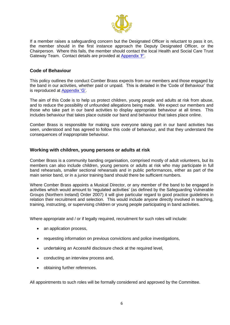<span id="page-5-0"></span>

If a member raises a safeguarding concern but the Designated Officer is reluctant to pass it on, the member should in the first instance approach the Deputy Designated Officer, or the Chairperson. Where this fails, the member should contact the local Health and Social Care Trust Gateway Team. Contact details are provided at [Appendix 'F'.](#page-19-0)

#### **Code of Behaviour**

This policy outlines the conduct Comber Brass expects from our members and those engaged by the band in our activities, whether paid or unpaid. This is detailed in the 'Code of Behaviour' that is reproduced at [Appendix 'G'.](#page-20-0)

<span id="page-5-1"></span>The aim of this Code is to help us protect children, young people and adults at risk from abuse, and to reduce the possibility of unfounded allegations being made. We expect our members and those who take part in our band activities to display appropriate behaviour at all times. This includes behaviour that takes place outside our band and behaviour that takes place online.

Comber Brass is responsible for making sure everyone taking part in our band activities has seen, understood and has agreed to follow this code of behaviour, and that they understand the consequences of inappropriate behaviour.

#### **Working with children, young persons or adults at risk**

Comber Brass is a community banding organisation, comprised mostly of adult volunteers, but its members can also include children, young persons or adults at risk who may participate in full band rehearsals, smaller sectional rehearsals and in public performances, either as part of the main senior band, or in a junior training band should there be sufficient numbers.

Where Comber Brass appoints a Musical Director, or any member of the band to be engaged in activities which would amount to 'regulated activities' (as defined by the Safeguarding Vulnerable Groups (Northern Ireland) Order 2007) it will give particular regard to good practice guidelines in relation their recruitment and selection. This would include anyone directly involved in teaching, training, instructing, or supervising children or young people participating in band activities.

Where appropriate and / or if legally required, recruitment for such roles will include:

- an application process,
- requesting information on previous convictions and police investigations,
- undertaking an AccessNI disclosure check at the required level,
- conducting an interview process and,
- obtaining further references.

All appointments to such roles will be formally considered and approved by the Committee.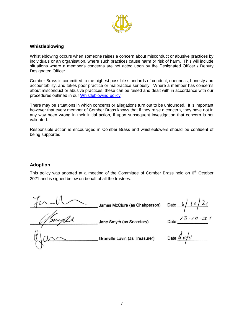

#### **Whistleblowing**

Whistleblowing occurs when someone raises a concern about misconduct or abusive practices by individuals or an organisation, where such practices cause harm or risk of harm. This will include situations where a member's concerns are not acted upon by the Designated Officer / Deputy Designated Officer.

Comber Brass is committed to the highest possible standards of conduct, openness, honesty and accountability, and takes poor practice or malpractice seriously. Where a member has concerns about misconduct or abusive practices, these can be raised and dealt with in accordance with our procedures outlined in our Whistleblowing policy.

There may be situations in which concerns or allegations turn out to be unfounded. It is important however that every member of Comber Brass knows that if they raise a concern, they have not in any way been wrong in their initial action, if upon subsequent investigation that concern is not validated.

Responsible action is encouraged in Comber Brass and whistleblowers should be confident of being supported.

#### **Adoption**

This policy was adopted at a meeting of the Committee of Comber Brass held on  $6<sup>th</sup>$  October 2021 and is signed below on behalf of all the trustees.

Date  $6/10/21$ James McClure (as Chairperson) Date Jane Smyth (as Secretary) Date  $\frac{d}{d}$   $\omega / \nu$ Granville Lavin (as Treasurer)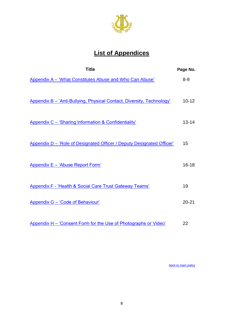

# **List of Appendices**

<span id="page-7-0"></span>

| <b>Title</b>                                                          | Page No.  |
|-----------------------------------------------------------------------|-----------|
| Appendix A - 'What Constitutes Abuse and Who Can Abuse'               | $8 - 9$   |
| Appendix B - 'Anti-Bullying, Physical Contact, Diversity, Technology' | $10 - 12$ |
| Appendix C - 'Sharing Information & Confidentiality'                  | $13 - 14$ |
| Appendix D - 'Role of Designated Officer / Deputy Designated Officer' | 15        |
| Appendix E - 'Abuse Report Form'                                      | $16 - 18$ |
| <b>Appendix F - 'Health &amp; Social Care Trust Gateway Teams'</b>    | 19        |
| <b>Appendix G - 'Code of Behaviour'</b>                               | $20 - 21$ |
| Appendix H - 'Consent Form for the Use of Photographs or Video'       | 22        |

*[back to main policy](#page-1-0)*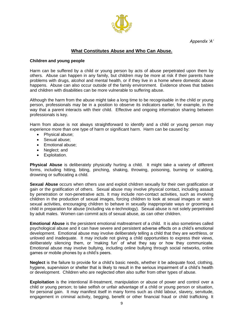*Appendix 'A'*



#### **What Constitutes Abuse and Who Can Abuse.**

#### <span id="page-8-0"></span>**Children and young people**

Harm can be suffered by a child or young person by acts of abuse perpetrated upon them by others. Abuse can happen in any family, but children may be more at risk if their parents have problems with drugs, alcohol and mental health, or if they live in a home where domestic abuse happens. Abuse can also occur outside of the family environment. Evidence shows that babies and children with disabilities can be more vulnerable to suffering abuse.

Although the harm from the abuse might take a long time to be recognisable in the child or young person, professionals may be in a position to observe its indicators earlier, for example, in the way that a parent interacts with their child. Effective and ongoing information sharing between professionals is key.

Harm from abuse is not always straightforward to identify and a child or young person may experience more than one type of harm or significant harm. Harm can be caused by:

- Physical abuse;
- Sexual abuse;
- Emotional abuse;
- Neglect; and
- Exploitation.

**Physical Abuse** is deliberately physically hurting a child. It might take a variety of different forms, including hitting, biting, pinching, shaking, throwing, poisoning, burning or scalding, drowning or suffocating a child.

**Sexual Abuse** occurs when others use and exploit children sexually for their own gratification or gain or the gratification of others. Sexual abuse may involve physical contact, including assault by penetration or non-penetrative acts. It may include non-contact activities, such as involving children in the production of sexual images, forcing children to look at sexual images or watch sexual activities, encouraging children to behave in sexually inappropriate ways or grooming a child in preparation for abuse (including via e-technology). Sexual abuse is not solely perpetrated by adult males. Women can commit acts of sexual abuse, as can other children.

**Emotional Abuse** is the persistent emotional maltreatment of a child. It is also sometimes called psychological abuse and it can have severe and persistent adverse effects on a child's emotional development. Emotional abuse may involve deliberately telling a child that they are worthless, or unloved and inadequate. It may include not giving a child opportunities to express their views, deliberately silencing them, or 'making fun' of what they say or how they communicate. Emotional abuse may involve bullying, including online bullying through social networks, online games or mobile phones by a child's peers.

**Neglect** is the failure to provide for a child's basic needs, whether it be adequate food, clothing, hygiene, supervision or shelter that is likely to result in the serious impairment of a child's health or development. Children who are neglected often also suffer from other types of abuse.

**Exploitation** is the intentional ill-treatment, manipulation or abuse of power and control over a child or young person; to take selfish or unfair advantage of a child or young person or situation, for personal gain. It may manifest itself in many forms such as child labour, slavery, servitude, engagement in criminal activity, begging, benefit or other financial fraud or child trafficking. It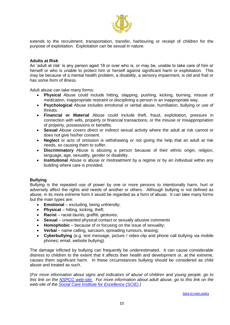

extends to the recruitment, transportation, transfer, harbouring or receipt of children for the purpose of exploitation. Exploitation can be sexual in nature.

#### **Adults at Risk**

An 'adult at risk' is any person aged 18 or over who is, or may be, unable to take care of him or herself or who is unable to protect him or herself against significant harm or exploitation. This may be because of a mental health problem, a disability, a sensory impairment, is old and frail or has some form of illness.

Adult abuse can take many forms:

- **Physical** Abuse could include hitting, slapping, pushing, kicking, burning, misuse of medication, inappropriate restraint or disciplining a person in an inappropriate way.
- **Psychological** Abuse includes emotional or verbal abuse, humiliation, bullying or use of threats.
- **Financial or Material** Abuse could include theft, fraud, exploitation, pressure in connection with wills, property or financial transactions, or the misuse or misappropriation of property, possessions or benefits.
- **Sexual** Abuse covers direct or indirect sexual activity where the adult at risk cannot or does not give his/her consent.
- **Neglect** or acts of omission is withdrawing or not giving the help that an adult at risk needs, so causing them to suffer.
- **Discriminatory** Abuse is abusing a person because of their ethnic origin, religion, language, age, sexuality, gender or disability.
- **Institutional** Abuse is abuse or mistreatment by a regime or by an individual within any building where care is provided.

#### **Bullying**

Bullying is the repeated use of power by one or more persons to intentionally harm, hurt or adversely affect the rights and needs of another or others. Although bullying is not defined as abuse, in its more extreme form it would be regarded as a form of abuse. It can take many forms but the main types are:

- **Emotional** excluding, being unfriendly;
- **•** Physical hitting, kicking, theft;
- **Racist**  racial taunts, graffiti, gestures;
- **Sexual**  unwanted physical contact or sexually abusive comments
- **Homophobic** because of or focusing on the issue of sexuality;
- **Verbal** name calling, sarcasm, spreading rumours, teasing;
- **Cyberbullying** (e.g. text message, picture / video-clip and phone call bullying via mobile phones; email, website bullying).

The damage inflicted by bullying can frequently be underestimated. It can cause considerable distress to children to the extent that it affects their health and development or, at the extreme, causes them significant harm. In these circumstances bullying should be considered as child abuse and treated as such.

*(For more information about signs and indicators of abuse of children and young people, go to this link on the [NSPCC web-site.](https://www.nspcc.org.uk/what-is-child-abuse/spotting-signs-child-abuse/) For more information about adult abuse, go to this link on the web-site of the [Social Care Institute for Excellence \(SCIE\).](https://www.scie.org.uk/safeguarding/adults/introduction/types-and-indicators-of-abuse))*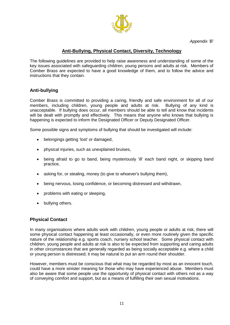*Appendix 'B'*



# **Anti-Bullying, Physical Contact, Diversity, Technology**

<span id="page-10-0"></span>The following guidelines are provided to help raise awareness and understanding of some of the key issues associated with safeguarding children, young persons and adults at risk. Members of Comber Brass are expected to have a good knowledge of them, and to follow the advice and instructions that they contain.

# **Anti-bullying**

Comber Brass is committed to providing a caring, friendly and safe environment for all of our members, including children, young people and adults at risk. Bullying of any kind is unacceptable. If bullying does occur, all members should be able to tell and know that incidents will be dealt with promptly and effectively. This means that anyone who knows that bullying is happening is expected to inform the Designated Officer or Deputy Designated Officer.

Some possible signs and symptoms of bullying that should be investigated will include:

- belongings getting 'lost' or damaged,
- physical injuries, such as unexplained bruises,
- being afraid to go to band, being mysteriously 'ill' each band night, or skipping band practice,
- asking for, or stealing, money (to give to whoever's bullying them),
- being nervous, losing confidence, or becoming distressed and withdrawn,
- problems with eating or sleeping,
- bullying others.

#### **Physical Contact**

In many organisations where adults work with children, young people or adults at risk, there will some physical contact happening at least occasionally, or even more routinely given the specific nature of the relationship e.g. sports coach, nursery school teacher. Some physical contact with children, young people and adults at risk is also to be expected from supporting and caring adults in other circumstances that are generally regarded as being socially acceptable e.g. where a child or young person is distressed; it may be natural to put an arm round their shoulder.

However, members must be conscious that what may be regarded by most as an innocent touch, could have a more sinister meaning for those who may have experienced abuse. Members must also be aware that some people use the opportunity of physical contact with others not as a way of conveying comfort and support, but as a means of fulfilling their own sexual motivations.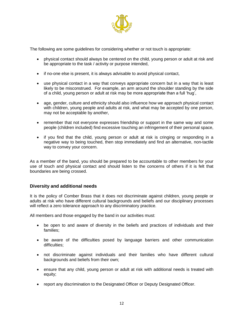

The following are some guidelines for considering whether or not touch is appropriate:

- physical contact should always be centered on the child, young person or adult at risk and be appropriate to the task / activity or purpose intended,
- if no-one else is present, it is always advisable to avoid physical contact,
- use physical contact in a way that conveys appropriate concern but in a way that is least likely to be misconstrued. For example, an arm around the shoulder standing by the side of a child, young person or adult at risk may be more appropriate than a full 'hug',
- age, gender, culture and ethnicity should also influence how we approach physical contact with children, young people and adults at risk, and what may be accepted by one person, may not be acceptable by another,
- remember that not everyone expresses friendship or support in the same way and some people (children included) find excessive touching an infringement of their personal space,
- if you find that the child, young person or adult at risk is cringing or responding in a negative way to being touched, then stop immediately and find an alternative, non-tactile way to convey your concern.

As a member of the band, you should be prepared to be accountable to other members for your use of touch and physical contact and should listen to the concerns of others if it is felt that boundaries are being crossed.

#### **Diversity and additional needs**

It is the policy of Comber Brass that it does not discriminate against children, young people or adults at risk who have different cultural backgrounds and beliefs and our disciplinary processes will reflect a zero tolerance approach to any discriminatory practice.

All members and those engaged by the band in our activities must:

- be open to and aware of diversity in the beliefs and practices of individuals and their families;
- be aware of the difficulties posed by language barriers and other communication difficulties;
- not discriminate against individuals and their families who have different cultural backgrounds and beliefs from their own;
- ensure that any child, young person or adult at risk with additional needs is treated with equity;
- report any discrimination to the Designated Officer or Deputy Designated Officer.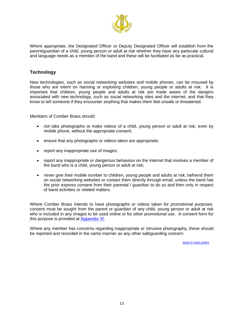

Where appropriate, the Designated Officer or Deputy Designated Officer will establish from the parent/guardian of a child, young person or adult at risk whether they have any particular cultural and language needs as a member of the band and these will be facilitated as far as practical.

# **Technology**

New technologies, such as social networking websites and mobile phones, can be misused by those who are intent on harming or exploiting children, young people or adults at risk. It is important that children, young people and adults at risk are made aware of the dangers associated with new technology, such as social networking sites and the internet, and that they know to tell someone if they encounter anything that makes them feel unsafe or threatened.

Members of Comber Brass should:

- not take photographs or make videos of a child, young person or adult at risk, even by mobile phone, without the appropriate consent;
- ensure that any photographs or videos taken are appropriate;
- report any inappropriate use of images;
- report any inappropriate or dangerous behaviour on the internet that involves a member of the band who is a child, young person or adult at risk;
- never give their mobile number to children, young people and adults at risk, befriend them on social networking websites or contact them directly through email, unless the band has the prior express consent from their parental / guardian to do so and then only in respect of band activities or related matters.

Where Comber Brass intends to have photographs or videos taken for promotional purposes, consent must be sought from the parent or guardian of any child, young person or adult at risk who is included in any images to be used online or for other promotional use. A consent form for this purpose is provided at [Appendix 'H'.](#page-22-0)

Where any member has concerns regarding inappropriate or intrusive photography, these should be reported and recorded in the same manner as any other safeguarding concern.

*[back to main policy](#page-2-1)*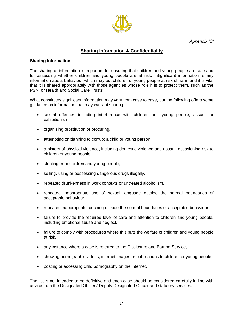*Appendix 'C'*



# **Sharing Information & Confidentiality**

#### <span id="page-13-0"></span>**Sharing Information**

The sharing of information is important for ensuring that children and young people are safe and for assessing whether children and young people are at risk. Significant information is any information about behaviour which may put children or young people at risk of harm and it is vital that it is shared appropriately with those agencies whose role it is to protect them, such as the PSNI or Health and Social Care Trusts.

What constitutes significant information may vary from case to case, but the following offers some guidance on information that may warrant sharing;

- sexual offences including interference with children and young people, assault or exhibitionism,
- organising prostitution or procuring,
- attempting or planning to corrupt a child or young person,
- a history of physical violence, including domestic violence and assault occasioning risk to children or young people,
- stealing from children and young people,
- selling, using or possessing dangerous drugs illegally,
- repeated drunkenness in work contexts or untreated alcoholism,
- repeated inappropriate use of sexual language outside the normal boundaries of acceptable behaviour,
- repeated inappropriate touching outside the normal boundaries of acceptable behaviour,
- failure to provide the required level of care and attention to children and young people, including emotional abuse and neglect,
- failure to comply with procedures where this puts the welfare of children and young people at risk,
- any instance where a case is referred to the Disclosure and Barring Service,
- showing pornographic videos, internet images or publications to children or young people,
- posting or accessing child pornography on the internet.

The list is not intended to be definitive and each case should be considered carefully in line with advice from the Designated Officer / Deputy Designated Officer and statutory services.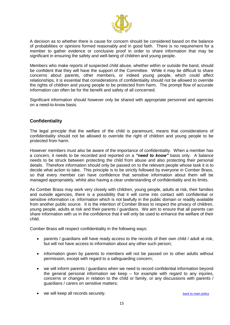

A decision as to whether there is cause for concern should be considered based on the balance of probabilities or opinions formed reasonably and in good faith. There is no requirement for a member to gather evidence or conclusive proof in order to share information that may be significant in ensuring the safety and well-being of children and young people.

Members who make reports of suspected child abuse, whether within or outside the band, should be confident that they will have the support of the Committee. While it may be difficult to share concerns about parents, other members, or indeed young people, which could affect relationships, it is essential that considerations of confidentiality should not be allowed to override the rights of children and young people to be protected from harm. The prompt flow of accurate information can often be for the benefit and safety of all concerned.

Significant information should however only be shared with appropriate personnel and agencies on a need-to-know basis.

## **Confidentiality**

The legal principle that the welfare of the child is paramount, means that considerations of confidentiality should not be allowed to override the right of children and young people to be protected from harm.

However members must also be aware of the importance of confidentiality. When a member has a concern, it needs to be recorded and reported on a *"need to know"* basis only. A balance needs to be struck between protecting the child from abuse and also protecting their personal details. Therefore information should only be passed on to the relevant people whose task it is to decide what action to take. This principle is to be strictly followed by everyone in Comber Brass, so that every member can have confidence that sensitive information about them will be managed appropriately, whilst also having a clear understanding of confidentiality and its limits.

As Comber Brass may work very closely with children, young people, adults at risk, their families and outside agencies, there is a possibility that it will come into contact with confidential or sensitive information i.e. information which is not lawfully in the public domain or readily available from another public source. It is the intention of Comber Brass to respect the privacy of children, young people, adults at risk and their parents / guardians. We aim to ensure that all parents can share information with us in the confidence that it will only be used to enhance the welfare of their child.

Comber Brass will respect confidentiality in the following ways:

- parents / guardians will have ready access to the records of their own child / adult at risk, but will not have access to information about any other such person;
- information given by parents to members will not be passed on to other adults without permission, except with regard to a safeguarding concern;
- we will inform parents / guardians when we need to record confidential information beyond the general personal information we keep – for example with regard to any injuries, concerns or changes in relation to the child or family, or any discussions with parents / guardians / carers on sensitive matters;
- we will keep all records securely. *[back to main policy](#page-4-0)*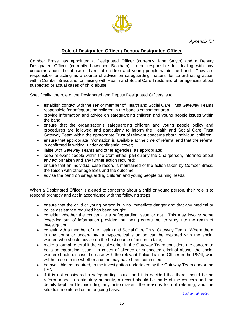

# **Role of Designated Officer / Deputy Designated Officer**

<span id="page-15-0"></span>Comber Brass has appointed a Designated Officer (currently Jane Smyth) and a Deputy Designated Officer (currently Lawrence Baalham), to be responsible for dealing with any concerns about the abuse or harm of children and young people within the band. They are responsible for acting as a source of advice on safeguarding matters, for co-ordinating action within Comber Brass and for liaising with Health and Social Care Trusts and other agencies about suspected or actual cases of child abuse.

Specifically, the role of the Designated and Deputy Designated Officers is to:

- establish contact with the senior member of Health and Social Care Trust Gateway Teams responsible for safeguarding children in the band's catchment area;
- provide information and advice on safeguarding children and young people issues within the band;
- ensure that the organisation's safeguarding children and young people policy and procedures are followed and particularly to inform the Health and Social Care Trust Gateway Team within the appropriate Trust of relevant concerns about individual children;
- ensure that appropriate information is available at the time of referral and that the referral is confirmed in writing, under confidential cover;
- liaise with Gateway Teams and other agencies, as appropriate;
- keep relevant people within the Committee, particularly the Chairperson, informed about any action taken and any further action required;
- ensure that an individual case record is maintained of the action taken by Comber Brass, the liaison with other agencies and the outcome;
- advise the band on safeguarding children and young people training needs.

When a Designated Officer is alerted to concerns about a child or young person, their role is to respond promptly and act in accordance with the following steps:

- ensure that the child or young person is in no immediate danger and that any medical or police assistance required has been sought;
- consider whether the concern is a safeguarding issue or not. This may involve some 'checking out' of information provided, but being careful not to stray into the realm of investigation;
- consult with a member of the Health and Social Care Trust Gateway Team. Where there is any doubt or uncertainty, a hypothetical situation can be explored with the social worker, who should advise on the best course of action to take;
- make a formal referral if the social worker in the Gateway Team considers the concern to be a safeguarding issue. In cases of alleged or suspected criminal abuse, the social worker should discuss the case with the relevant Police Liaison Officer in the PSNI, who will help determine whether a crime may have been committed.
- be available, as required, to the investigation undertaken by the Gateway Team and/or the PSNI;
- if it is not considered a safeguarding issue, and it is decided that there should be no referral made to a statutory authority, a record should be made of the concern and the details kept on file, including any action taken, the reasons for not referring, and the situation monitored on an ongoing basis.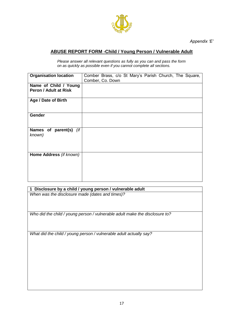

*Appendix 'E'*

# <span id="page-16-0"></span>**ABUSE REPORT FORM -Child / Young Person / Vulnerable Adult**

*Please answer all relevant questions as fully as you can and pass the form on as quickly as possible even if you cannot complete all sections.*

| <b>Organisation location</b>                   | Comber, Co. Down |  |  | Comber Brass, c/o St Mary's Parish Church, The Square, |  |
|------------------------------------------------|------------------|--|--|--------------------------------------------------------|--|
| Name of Child / Young<br>Peron / Adult at Risk |                  |  |  |                                                        |  |
| Age / Date of Birth                            |                  |  |  |                                                        |  |
| <b>Gender</b>                                  |                  |  |  |                                                        |  |
| Names of parent(s) (if<br>known)               |                  |  |  |                                                        |  |
| Home Address (if known)                        |                  |  |  |                                                        |  |

**1 Disclosure by a child / young person / vulnerable adult** *When was the disclosure made (dates and times)?*

*Who did the child / young person / vulnerable adult make the disclosure to?*

*What did the child / young person / vulnerable adult actually say?*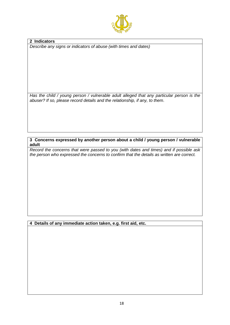

**2 Indicators** *Describe any signs or indicators of abuse (with times and dates)*

*Has the child / young person / vulnerable adult alleged that any particular person is the abuser? If so, please record details and the relationship, if any, to them*.

**3 Concerns expressed by another person about a child / young person / vulnerable adult**

*Record the concerns that were passed to you (with dates and times) and if possible ask the person who expressed the concerns to confirm that the details as written are correct.*

**4 Details of any immediate action taken, e.g. first aid, etc.**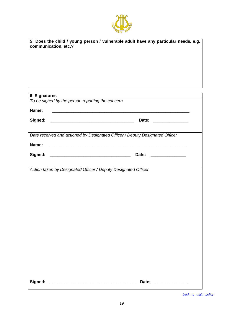

| Does the child / young person / vulnerable adult have any particular needs, e.g.<br>5<br>communication, etc.? |                                                                              |  |
|---------------------------------------------------------------------------------------------------------------|------------------------------------------------------------------------------|--|
|                                                                                                               |                                                                              |  |
|                                                                                                               |                                                                              |  |
|                                                                                                               |                                                                              |  |
|                                                                                                               |                                                                              |  |
|                                                                                                               |                                                                              |  |
|                                                                                                               |                                                                              |  |
| <b>6 Signatures</b>                                                                                           |                                                                              |  |
|                                                                                                               | To be signed by the person reporting the concern                             |  |
| Name:                                                                                                         |                                                                              |  |
|                                                                                                               |                                                                              |  |
| Signed:                                                                                                       |                                                                              |  |
|                                                                                                               |                                                                              |  |
|                                                                                                               | Date received and actioned by Designated Officer / Deputy Designated Officer |  |
| Name:                                                                                                         |                                                                              |  |
| Signed:                                                                                                       | Date:                                                                        |  |
|                                                                                                               |                                                                              |  |
|                                                                                                               | Action taken by Designated Officer / Deputy Designated Officer               |  |
|                                                                                                               |                                                                              |  |
|                                                                                                               |                                                                              |  |
|                                                                                                               |                                                                              |  |
|                                                                                                               |                                                                              |  |
|                                                                                                               |                                                                              |  |
|                                                                                                               |                                                                              |  |
|                                                                                                               |                                                                              |  |
|                                                                                                               |                                                                              |  |
|                                                                                                               |                                                                              |  |
|                                                                                                               |                                                                              |  |
|                                                                                                               |                                                                              |  |
|                                                                                                               |                                                                              |  |
|                                                                                                               |                                                                              |  |
|                                                                                                               |                                                                              |  |
|                                                                                                               |                                                                              |  |
| Signed:                                                                                                       | Date:<br><u> 1980 - John Stone, Amerikaansk politiker (</u>                  |  |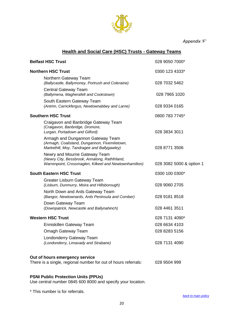

*Appendix 'F'*

# **Health and Social Care (HSC) Trusts - Gateway Teams**

<span id="page-19-0"></span>

| <b>Belfast HSC Trust</b>                                                                                                                  | 028 9050 7000*           |
|-------------------------------------------------------------------------------------------------------------------------------------------|--------------------------|
| <b>Northern HSC Trust</b>                                                                                                                 | 0300 123 4333*           |
| Northern Gateway Team<br>(Ballycastle, Ballymoney, Portrush and Coleraine)                                                                | 028 7032 5462            |
| <b>Central Gateway Team</b><br>(Ballymena, Magherafelt and Cookstown)                                                                     | 028 7965 1020            |
| South Eastern Gateway Team<br>(Antrim, Carrickfergus, Newtownabbey and Larne)                                                             | 028 9334 0165            |
| <b>Southern HSC Trust</b>                                                                                                                 | 0800 783 7745*           |
| Craigavon and Banbridge Gateway Team<br>(Craigavon, Banbridge, Dromore,<br>Lurgan, Portadown and Gilford)                                 | 028 3834 3011            |
| Armagh and Dungannon Gateway Team<br>(Armagh, Coalisland, Dungannon, Fivemiletown,<br>Markethill, Moy, Tandragee and Ballygawley)         | 028 8771 3506            |
| Newry and Mourne Gateway Team<br>(Newry City, Bessbrook, Annalong, Rathfriland,<br>Warrenpoint, Crossmaglen, Kilkeel and Newtownhamilton) | 028 3082 5000 & option 1 |
| <b>South Eastern HSC Trust</b>                                                                                                            | 0300 100 0300*           |
| Greater Lisburn Gateway Team<br>(Lisburn, Dunmurry, Moira and Hillsborough)                                                               | 028 9060 2705            |
| North Down and Ards Gateway Team<br>(Bangor, Newtownards, Ards Peninsula and Comber)                                                      | 028 9181 8518            |
| Down Gateway Team<br>(Downpatrick, Newcastle and Ballynahinch)                                                                            | 028 4461 3511            |
| <b>Western HSC Trust</b>                                                                                                                  | 028 7131 4090*           |
| Enniskillen Gateway Team                                                                                                                  | 028 6634 4103            |
| Omagh Gateway Team                                                                                                                        | 028 8283 5156            |
| Londonderry Gateway Team<br>(Londonderry, Limavady and Strabane)                                                                          | 028 7131 4090            |
| Out of hours emergency service<br>There is a single, regional number for out of hours referrals:                                          | 028 9504 999             |

#### **PSNI Public Protection Units (PPUs)**

Use central number 0845 600 8000 and specify your location.

\* This number is for referrals.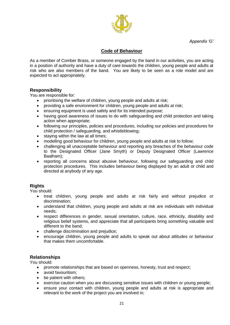*Appendix 'G'*



## **Code of Behaviour**

<span id="page-20-0"></span>As a member of Comber Brass, or someone engaged by the band in our activities, you are acting in a position of authority and have a duty of care towards the children, young people and adults at risk who are also members of the band. You are likely to be seen as a role model and are expected to act appropriately.

#### **Responsibility**

You are responsible for:

- prioritising the welfare of children, young people and adults at risk;
- providing a safe environment for children, young people and adults at risk;
- ensuring equipment is used safely and for its intended purpose;
- having good awareness of issues to do with safeguarding and child protection and taking action when appropriate;
- following our principles, policies and procedures, including our policies and procedures for child protection / safeguarding, and whistleblowing;
- staying within the law at all times;
- modelling good behaviour for children, young people and adults at risk to follow;
- challenging all unacceptable behaviour and reporting any breaches of the behaviour code to the Designated Officer (Jane Smyth) or Deputy Designated Officer (Lawrence Baalham);
- reporting all concerns about abusive behaviour, following our safeguarding and child protection procedures. This includes behaviour being displayed by an adult or child and directed at anybody of any age.

#### **Rights**

You should:

- treat children, young people and adults at risk fairly and without prejudice or discrimination;
- understand that children, young people and adults at risk are individuals with individual needs;
- respect differences in gender, sexual orientation, culture, race, ethnicity, disability and religious belief systems, and appreciate that all participants bring something valuable and different to the band;
- challenge discrimination and prejudice;
- encourage children, young people and adults to speak out about attitudes or behaviour that makes them uncomfortable.

#### **Relationships**

You should:

- promote relationships that are based on openness, honesty, trust and respect;
- avoid favouritism:
- be patient with others;
- exercise caution when you are discussing sensitive issues with children or young people;
- ensure your contact with children, young people and adults at risk is appropriate and relevant to the work of the project you are involved in;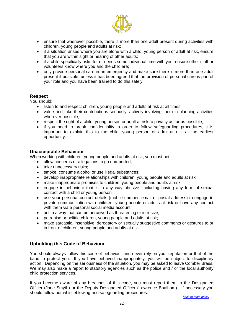

- ensure that whenever possible, there is more than one adult present during activities with children, young people and adults at risk;
- if a situation arises where you are alone with a child, young person or adult at risk, ensure that you are within sight or hearing of other adults;
- if a child specifically asks for or needs some individual time with you, ensure other staff or volunteers know where you and the child are;
- only provide personal care in an emergency and make sure there is more than one adult present if possible, unless it has been agreed that the provision of personal care is part of your role and you have been trained to do this safely.

#### **Respect**

You should:

- listen to and respect children, young people and adults at risk at all times;
- value and take their contributions seriously, actively involving them in planning activities wherever possible;
- respect the right of a child, young person or adult at risk to privacy as far as possible;
- if you need to break confidentiality in order to follow safeguarding procedures, it is important to explain this to the child, young person or adult at risk at the earliest opportunity.

#### **Unacceptable Behaviour**

When working with children, young people and adults at risk, you must not:

- allow concerns or allegations to go unreported;
- take unnecessary risks;
- smoke, consume alcohol or use illegal substances;
- develop inappropriate relationships with children, young people and adults at risk;
- make inappropriate promises to children, young people and adults at risk;
- engage in behaviour that is in any way abusive, including having any form of sexual contact with a child or young person;
- use your personal contact details (mobile number, email or postal address) to engage in private communication with children, young people or adults at risk or have any contact with them via a personal social media account;
- act in a way that can be perceived as threatening or intrusive;
- patronise or belittle children, young people and adults at risk;
- make sarcastic, insensitive, derogatory or sexually suggestive comments or gestures to or in front of children, young people and adults at risk.

#### **Upholding this Code of Behaviour**

You should always follow this code of behaviour and never rely on your reputation or that of the band to protect you. If you have behaved inappropriately, you will be subject to disciplinary action. Depending on the seriousness of the situation, you may be asked to leave Comber Brass. We may also make a report to statutory agencies such as the police and / or the local authority child protection services.

If you become aware of any breaches of this code, you must report them to the Designated Officer (Jane Smyth) or the Deputy Designated Officer (Lawrence Baalham). If necessary you should follow our whistleblowing and safeguarding procedures.